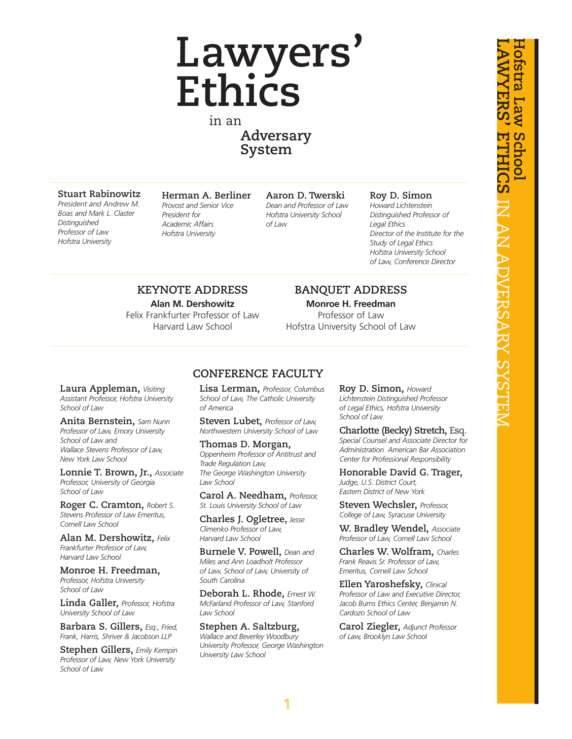# **Lawyers' Ethics**

in an **Adversary System**

#### **Stuart Rabinowitz**

*President and Andrew M. Boas and Mark L. Claster Distinguished Professor of Law Hofstra University*

**Herman A. Berliner** *Provost and Senior Vice President for Academic Affairs Hofstra University*

**Aaron D. Twerski** *Dean and Professor of Law Hofstra University School of Law*

#### **Roy D. Simon**

*Howard Lichtenstein Distinguished Professor of Legal Ethics Director of the Institute for the Study of Legal Ethics Hofstra University School of Law, Conference Director*

### **KEYNOTE ADDRESS**

**Alan M. Dershowitz** Felix Frankfurter Professor of Law Harvard Law School

#### **BANQUET ADDRESS**

**Monroe H. Freedman** Professor of Law Hofstra University School of Law

#### **Laura Appleman,** *Visiting Assistant Professor, Hofstra University School of Law*

**Anita Bernstein,** *Sam Nunn Professor of Law, Emory University School of Law and Wallace Stevens Professor of Law, New York Law School*

**Lonnie T. Brown, Jr.,** *Associate Professor, University of Georgia School of Law*

**Roger C. Cramton,** *Robert S. Stevens Professor of Law Emeritus, Cornell Law School*

**Alan M. Dershowitz,** *Felix Frankfurter Professor of Law, Harvard Law School*

**Monroe H. Freedman,** *Professor, Hofstra University School of Law*

**Linda Galler,** *Professor, Hofstra University School of Law*

**Barbara S. Gillers,** *Esq., Fried, Frank, Harris, Shriver & Jacobson LLP*

**Stephen Gillers,** *Emily Kempin Professor of Law, New York University School of Law*

#### **CONFERENCE FACULTY**

**Lisa Lerman,** *Professor, Columbus School of Law, The Catholic University of America*

**Steven Lubet,** *Professor of Law, Northwestern University School of Law*

**Thomas D. Morgan,** *Oppenheim Professor of Antitrust and Trade Regulation Law, The George Washington University Law School*

**Carol A. Needham,** *Professor, St. Louis University School of Law*

**Charles J. Ogletree,** *Jesse Climenko Professor of Law, Harvard Law School*

**Burnele V. Powell,** *Dean and Miles and Ann Loadholt Professor of Law, School of Law, University of South Carolina*

**Deborah L. Rhode,** *Ernest W. McFarland Professor of Law, Stanford Law School*

**Stephen A. Saltzburg,** *Wallace and Beverley Woodbury University Professor, George Washington University Law School*

**Roy D. Simon,** *Howard Lichtenstein Distinguished Professor of Legal Ethics, Hofstra University School of Law*

**Charlotte (Becky) Stretch,** Esq. *Special Counsel and Associate Director for Administration American Bar Association Center for Professional Responsibility*

**Honorable David G. Trager,** *Judge, U.S. District Court, Eastern District of New York*

**Steven Wechsler,** *Professor, College of Law, Syracuse University*

**W. Bradley Wendel,** *Associate Professor of Law, Cornell Law School*

**Charles W. Wolfram,** *Charles Frank Reavis Sr. Professor of Law, Emeritus, Cornell Law School*

**Ellen Yaroshefsky,** *Clinical Professor of Law and Executive Director, Jacob Burns Ethics Center, Benjamin N. Cardozo School of Law*

**Carol Ziegler,** *Adjunct Professor of Law, Brooklyn Law School*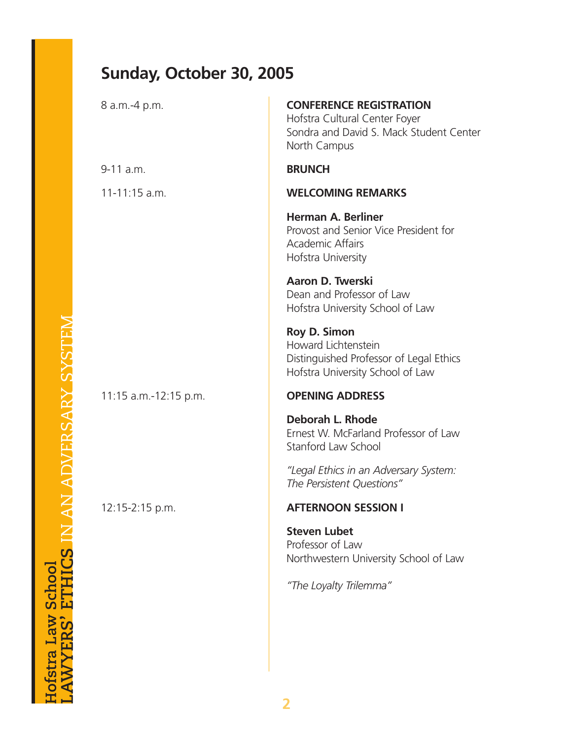# **Sunday, October 30, 2005**

| 8 a.m.-4 p.m.         | <b>CONFERENCE REGISTRATION</b><br>Hofstra Cultural Center Foyer<br>Sondra and David S. Mack Student Center<br>North Campus |
|-----------------------|----------------------------------------------------------------------------------------------------------------------------|
| $9-11$ a.m.           | <b>BRUNCH</b>                                                                                                              |
| $11-11:15$ a.m.       | <b>WELCOMING REMARKS</b>                                                                                                   |
|                       | <b>Herman A. Berliner</b><br>Provost and Senior Vice President for<br><b>Academic Affairs</b><br>Hofstra University        |
|                       | Aaron D. Twerski<br>Dean and Professor of Law<br>Hofstra University School of Law                                          |
|                       | <b>Roy D. Simon</b><br>Howard Lichtenstein<br>Distinguished Professor of Legal Ethics<br>Hofstra University School of Law  |
| 11:15 a.m.-12:15 p.m. | <b>OPENING ADDRESS</b>                                                                                                     |
|                       | Deborah L. Rhode<br>Ernest W. McFarland Professor of Law<br>Stanford Law School                                            |
|                       | "Legal Ethics in an Adversary System:<br>The Persistent Questions"                                                         |
| 12:15-2:15 p.m.       | <b>AFTERNOON SESSION I</b>                                                                                                 |
|                       | <b>Steven Lubet</b><br>Professor of Law<br>Northwestern University School of Law<br>"The Loyalty Trilemma"                 |
|                       |                                                                                                                            |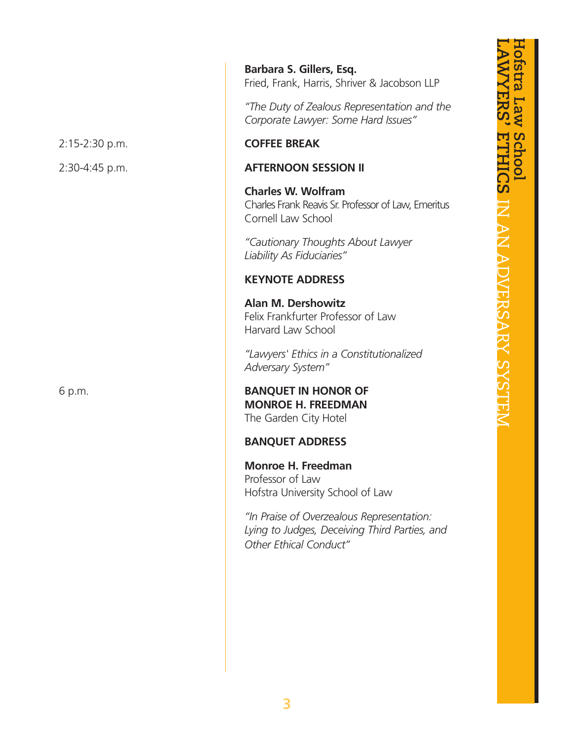**Barbara S. Gillers, Esq.** Fried, Frank, Harris, Shriver & Jacobson LLP

*"The Duty of Zealous Representation and the Corporate Lawyer: Some Hard Issues"*

#### 2:15-2:30 p.m. **COFFEE BREAK**

#### 2:30-4:45 p.m. **AFTERNOON SESSION II**

**Charles W. Wolfram** Charles Frank Reavis Sr. Professor of Law, Emeritus Cornell Law School

*"Cautionary Thoughts About Lawyer Liability As Fiduciaries"*

### **KEYNOTE ADDRESS**

**Alan M. Dershowitz** Felix Frankfurter Professor of Law Harvard Law School

*"Lawyers' Ethics in a Constitutionalized Adversary System"*

6 p.m. **BANQUET IN HONOR OF MONROE H. FREEDMAN** The Garden City Hotel

#### **BANQUET ADDRESS**

**Monroe H. Freedman** Professor of Law Hofstra University School of Law

*"In Praise of Overzealous Representation: Lying to Judges, Deceiving Third Parties, and Other Ethical Conduct"*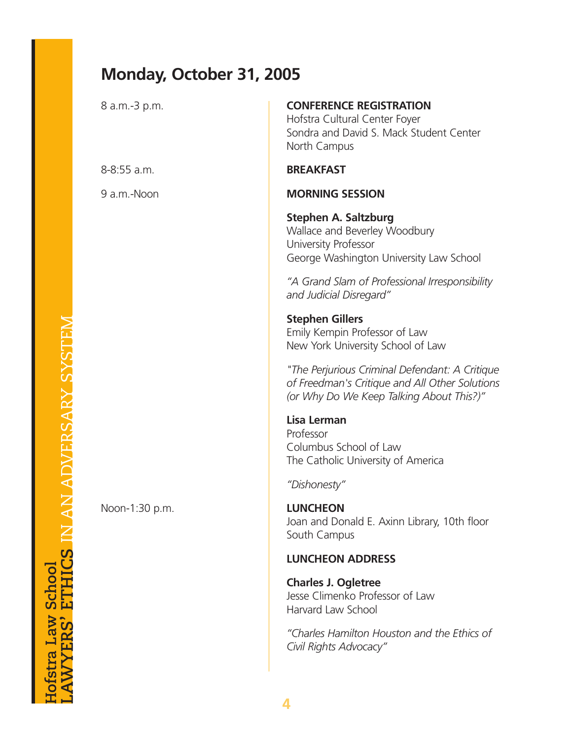# **Monday, October 31, 2005**

| 8 a.m.-3 p.m.  | <b>CONFERENCE REGISTRATION</b><br>Hofstra Cultural Center Foyer<br>Sondra and David S. Mack Student Center<br>North Campus                   |  |  |  |
|----------------|----------------------------------------------------------------------------------------------------------------------------------------------|--|--|--|
| 8-8:55 a.m.    | <b>BREAKFAST</b>                                                                                                                             |  |  |  |
| 9 a.m.-Noon    | <b>MORNING SESSION</b>                                                                                                                       |  |  |  |
|                | <b>Stephen A. Saltzburg</b><br>Wallace and Beverley Woodbury<br>University Professor<br>George Washington University Law School              |  |  |  |
|                | "A Grand Slam of Professional Irresponsibility<br>and Judicial Disregard"                                                                    |  |  |  |
|                | <b>Stephen Gillers</b><br>Emily Kempin Professor of Law<br>New York University School of Law                                                 |  |  |  |
|                | "The Perjurious Criminal Defendant: A Critique<br>of Freedman's Critique and All Other Solutions<br>(or Why Do We Keep Talking About This?)" |  |  |  |
|                | Lisa Lerman<br>Professor<br>Columbus School of Law<br>The Catholic University of America                                                     |  |  |  |
|                | "Dishonesty"                                                                                                                                 |  |  |  |
| Noon-1:30 p.m. | <b>LUNCHEON</b><br>Joan and Donald E. Axinn Library, 10th floor<br>South Campus                                                              |  |  |  |
|                | <b>LUNCHEON ADDRESS</b>                                                                                                                      |  |  |  |
|                | <b>Charles J. Ogletree</b><br>Jesse Climenko Professor of Law<br>Harvard Law School                                                          |  |  |  |
|                | "Charles Hamilton Houston and the Ethics of<br>Civil Rights Advocacy"                                                                        |  |  |  |
|                |                                                                                                                                              |  |  |  |

**Hofstra Law School<br>LAWYERS' ETHICS IN AN ADVERSARY SYSTEM a Law School LAWYERS' ETHICS** IN AN ADVERSARY SYSTEM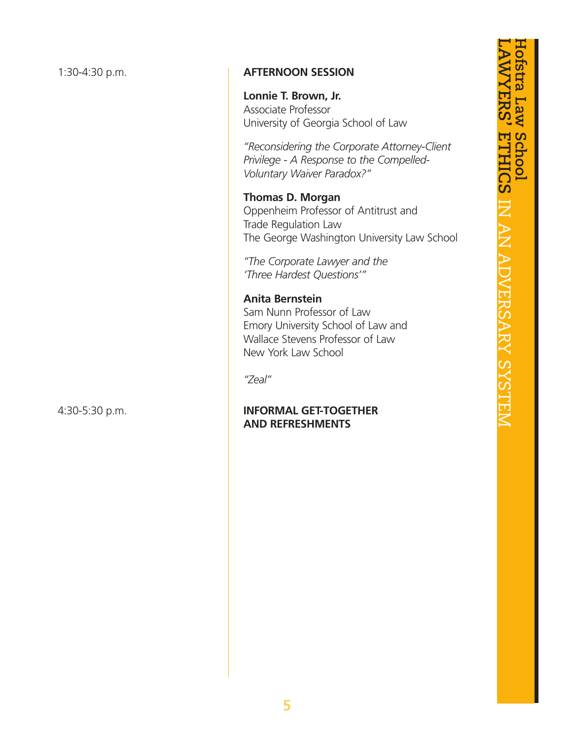### 1:30-4:30 p.m. **AFTERNOON SESSION**

**Lonnie T. Brown, Jr.** Associate Professor University of Georgia School of Law

*"Reconsidering the Corporate Attorney-Client Privilege - A Response to the Compelled-Voluntary Waiver Paradox?"*

**Thomas D. Morgan** Oppenheim Professor of Antitrust and Trade Regulation Law The George Washington University Law School

*"The Corporate Lawyer and the 'Three Hardest Questions'"*

#### **Anita Bernstein** Sam Nunn Professor of Law Emory University School of Law and Wallace Stevens Professor of Law New York Law School

*"Zeal"*

### 4:30-5:30 p.m. **INFORMAL GET-TOGETHER AND REFRESHMENTS**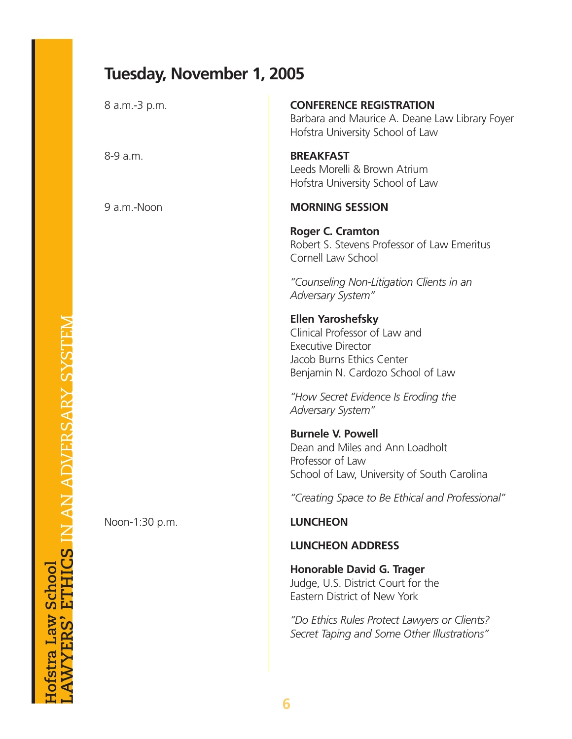# **Tuesday, November 1, 2005**

| 8 a.m.-3 p.m.  | <b>CONFERENCE REGISTRATION</b><br>Barbara and Maurice A. Deane Law Library Foyer<br>Hofstra University School of Law                                     |
|----------------|----------------------------------------------------------------------------------------------------------------------------------------------------------|
| 8-9 a.m.       | <b>BREAKFAST</b><br>Leeds Morelli & Brown Atrium<br>Hofstra University School of Law                                                                     |
| 9 a.m.-Noon    | <b>MORNING SESSION</b>                                                                                                                                   |
|                | <b>Roger C. Cramton</b><br>Robert S. Stevens Professor of Law Emeritus<br>Cornell Law School                                                             |
|                | "Counseling Non-Litigation Clients in an<br><b>Adversary System"</b>                                                                                     |
|                | <b>Ellen Yaroshefsky</b><br>Clinical Professor of Law and<br><b>Executive Director</b><br>Jacob Burns Ethics Center<br>Benjamin N. Cardozo School of Law |
|                | "How Secret Evidence Is Eroding the<br>Adversary System"                                                                                                 |
|                | <b>Burnele V. Powell</b><br>Dean and Miles and Ann Loadholt<br>Professor of Law<br>School of Law, University of South Carolina                           |
|                | "Creating Space to Be Ethical and Professional"                                                                                                          |
| Noon-1:30 p.m. | <b>LUNCHEON</b>                                                                                                                                          |
|                | <b>LUNCHEON ADDRESS</b>                                                                                                                                  |
|                | <b>Honorable David G. Trager</b><br>Judge, U.S. District Court for the<br>Eastern District of New York                                                   |
|                | "Do Ethics Rules Protect Lawyers or Clients?<br>Secret Taping and Some Other Illustrations"                                                              |
|                |                                                                                                                                                          |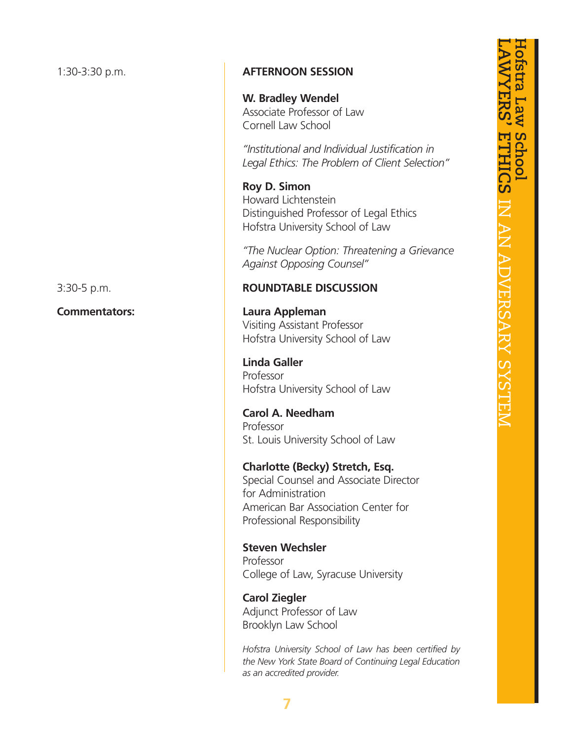### 1:30-3:30 p.m. **AFTERNOON SESSION**

**W. Bradley Wendel** Associate Professor of Law Cornell Law School

*"Institutional and Individual Justification in Legal Ethics: The Problem of Client Selection"*

**Roy D. Simon** Howard Lichtenstein Distinguished Professor of Legal Ethics Hofstra University School of Law

*"The Nuclear Option: Threatening a Grievance Against Opposing Counsel"*

### 3:30-5 p.m. **ROUNDTABLE DISCUSSION**

**Commentators: Laura Appleman** Visiting Assistant Professor Hofstra University School of Law

> **Linda Galler** Professor Hofstra University School of Law

**Carol A. Needham** Professor St. Louis University School of Law

**Charlotte (Becky) Stretch, Esq.** Special Counsel and Associate Director for Administration American Bar Association Center for Professional Responsibility

**Steven Wechsler** Professor College of Law, Syracuse University

**Carol Ziegler** Adjunct Professor of Law Brooklyn Law School

*Hofstra University School of Law has been certified by the New York State Board of Continuing Legal Education as an accredited provider.*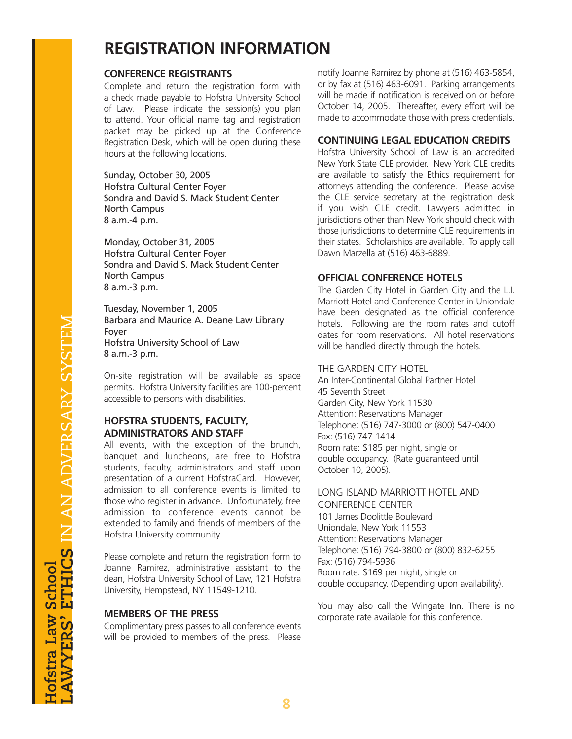# **REGISTRATION INFORMATION**

#### **CONFERENCE REGISTRANTS**

Complete and return the registration form with a check made payable to Hofstra University School of Law. Please indicate the session(s) you plan to attend. Your official name tag and registration packet may be picked up at the Conference Registration Desk, which will be open during these hours at the following locations.

Sunday, October 30, 2005 Hofstra Cultural Center Foyer Sondra and David S. Mack Student Center North Campus 8 a.m.-4 p.m.

Monday, October 31, 2005 Hofstra Cultural Center Foyer Sondra and David S. Mack Student Center North Campus 8 a.m.-3 p.m.

Tuesday, November 1, 2005 Barbara and Maurice A. Deane Law Library Foyer Hofstra University School of Law 8 a.m.-3 p.m.

On-site registration will be available as space permits. Hofstra University facilities are 100-percent accessible to persons with disabilities.

#### **HOFSTRA STUDENTS, FACULTY, ADMINISTRATORS AND STAFF**

All events, with the exception of the brunch, banquet and luncheons, are free to Hofstra students, faculty, administrators and staff upon presentation of a current HofstraCard. However, admission to all conference events is limited to those who register in advance. Unfortunately, free admission to conference events cannot be extended to family and friends of members of the Hofstra University community.

Please complete and return the registration form to Joanne Ramirez, administrative assistant to the dean, Hofstra University School of Law, 121 Hofstra University, Hempstead, NY 11549-1210.

#### **MEMBERS OF THE PRESS**

Complimentary press passes to all conference events will be provided to members of the press. Please notify Joanne Ramirez by phone at (516) 463-5854, or by fax at (516) 463-6091. Parking arrangements will be made if notification is received on or before October 14, 2005. Thereafter, every effort will be made to accommodate those with press credentials.

#### **CONTINUING LEGAL EDUCATION CREDITS**

Hofstra University School of Law is an accredited New York State CLE provider. New York CLE credits are available to satisfy the Ethics requirement for attorneys attending the conference. Please advise the CLE service secretary at the registration desk if you wish CLE credit. Lawyers admitted in jurisdictions other than New York should check with those jurisdictions to determine CLE requirements in their states. Scholarships are available. To apply call Dawn Marzella at (516) 463-6889.

#### **OFFICIAL CONFERENCE HOTELS**

The Garden City Hotel in Garden City and the L.I. Marriott Hotel and Conference Center in Uniondale have been designated as the official conference hotels. Following are the room rates and cutoff dates for room reservations. All hotel reservations will be handled directly through the hotels.

#### THE GARDEN CITY HOTEL

An Inter-Continental Global Partner Hotel 45 Seventh Street Garden City, New York 11530 Attention: Reservations Manager Telephone: (516) 747-3000 or (800) 547-0400 Fax: (516) 747-1414 Room rate: \$185 per night, single or double occupancy. (Rate guaranteed until October 10, 2005).

#### LONG ISLAND MARRIOTT HOTEL AND CONFERENCE CENTER

101 James Doolittle Boulevard Uniondale, New York 11553 Attention: Reservations Manager Telephone: (516) 794-3800 or (800) 832-6255 Fax: (516) 794-5936 Room rate: \$169 per night, single or double occupancy. (Depending upon availability).

You may also call the Wingate Inn. There is no corporate rate available for this conference.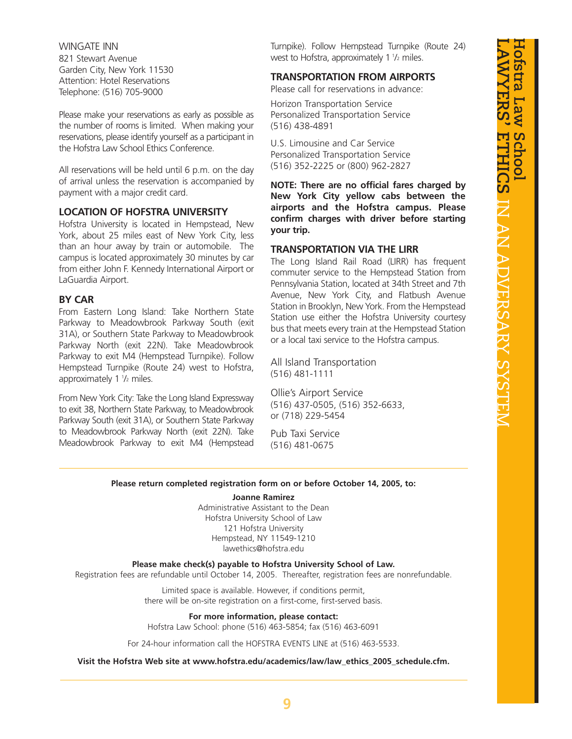WINGATE INN 821 Stewart Avenue Garden City, New York 11530 Attention: Hotel Reservations Telephone: (516) 705-9000

Please make your reservations as early as possible as the number of rooms is limited. When making your reservations, please identify yourself as a participant in the Hofstra Law School Ethics Conference.

All reservations will be held until 6 p.m. on the day of arrival unless the reservation is accompanied by payment with a major credit card.

#### **LOCATION OF HOFSTRA UNIVERSITY**

Hofstra University is located in Hempstead, New York, about 25 miles east of New York City, less than an hour away by train or automobile. The campus is located approximately 30 minutes by car from either John F. Kennedy International Airport or LaGuardia Airport.

#### **BY CAR**

From Eastern Long Island: Take Northern State Parkway to Meadowbrook Parkway South (exit 31A), or Southern State Parkway to Meadowbrook Parkway North (exit 22N). Take Meadowbrook Parkway to exit M4 (Hempstead Turnpike). Follow Hempstead Turnpike (Route 24) west to Hofstra, approximately 1 1/2 miles.

From New York City: Take the Long Island Expressway to exit 38, Northern State Parkway, to Meadowbrook Parkway South (exit 31A), or Southern State Parkway to Meadowbrook Parkway North (exit 22N). Take Meadowbrook Parkway to exit M4 (Hempstead Turnpike). Follow Hempstead Turnpike (Route 24) west to Hofstra, approximately 1 1/2 miles.

#### **TRANSPORTATION FROM AIRPORTS**

Please call for reservations in advance:

Horizon Transportation Service Personalized Transportation Service (516) 438-4891

U.S. Limousine and Car Service Personalized Transportation Service (516) 352-2225 or (800) 962-2827

**NOTE: There are no official fares charged by New York City yellow cabs between the airports and the Hofstra campus. Please confirm charges with driver before starting your trip.**

#### **TRANSPORTATION VIA THE LIRR**

The Long Island Rail Road (LIRR) has frequent commuter service to the Hempstead Station from Pennsylvania Station, located at 34th Street and 7th Avenue, New York City, and Flatbush Avenue Station in Brooklyn, New York. From the Hempstead Station use either the Hofstra University courtesy bus that meets every train at the Hempstead Station or a local taxi service to the Hofstra campus.

All Island Transportation (516) 481-1111

Ollie's Airport Service (516) 437-0505, (516) 352-6633, or (718) 229-5454

Pub Taxi Service (516) 481-0675

#### **Please return completed registration form on or before October 14, 2005, to:**

#### **Joanne Ramirez**

Administrative Assistant to the Dean Hofstra University School of Law 121 Hofstra University Hempstead, NY 11549-1210 lawethics@hofstra.edu

**Please make check(s) payable to Hofstra University School of Law.**

Registration fees are refundable until October 14, 2005. Thereafter, registration fees are nonrefundable.

Limited space is available. However, if conditions permit, there will be on-site registration on a first-come, first-served basis.

**For more information, please contact:**

Hofstra Law School: phone (516) 463-5854; fax (516) 463-6091

For 24-hour information call the HOFSTRA EVENTS LINE at (516) 463-5533.

**Visit the Hofstra Web site at www.hofstra.edu/academics/law/law\_ethics\_2005\_schedule.cfm.**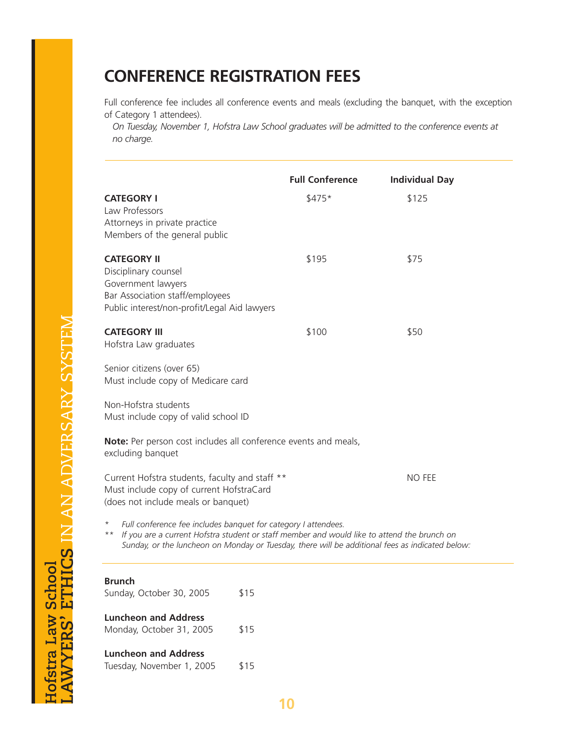# **CONFERENCE REGISTRATION FEES**

Full conference fee includes all conference events and meals (excluding the banquet, with the exception of Category 1 attendees).

*On Tuesday, November 1, Hofstra Law School graduates will be admitted to the conference events at no charge.*

|                                                                                                                                                                                                                                                                                         | <b>Full Conference</b> | <b>Individual Day</b> |  |  |  |  |
|-----------------------------------------------------------------------------------------------------------------------------------------------------------------------------------------------------------------------------------------------------------------------------------------|------------------------|-----------------------|--|--|--|--|
| <b>CATEGORY I</b><br>Law Professors<br>Attorneys in private practice<br>Members of the general public                                                                                                                                                                                   | $$475*$                | \$125                 |  |  |  |  |
| <b>CATEGORY II</b><br>Disciplinary counsel<br>Government lawyers<br>Bar Association staff/employees<br>Public interest/non-profit/Legal Aid lawyers                                                                                                                                     | \$195                  | \$75                  |  |  |  |  |
| <b>CATEGORY III</b><br>Hofstra Law graduates                                                                                                                                                                                                                                            | \$100                  | \$50                  |  |  |  |  |
| Senior citizens (over 65)<br>Must include copy of Medicare card                                                                                                                                                                                                                         |                        |                       |  |  |  |  |
| Non-Hofstra students<br>Must include copy of valid school ID                                                                                                                                                                                                                            |                        |                       |  |  |  |  |
| Note: Per person cost includes all conference events and meals,<br>excluding banquet                                                                                                                                                                                                    |                        |                       |  |  |  |  |
| Current Hofstra students, faculty and staff **<br>Must include copy of current HofstraCard<br>(does not include meals or banquet)                                                                                                                                                       |                        | NO FEE                |  |  |  |  |
| Full conference fee includes banquet for category I attendees.<br>$^{\star}$<br>If you are a current Hofstra student or staff member and would like to attend the brunch on<br>$***$<br>Sunday, or the luncheon on Monday or Tuesday, there will be additional fees as indicated below: |                        |                       |  |  |  |  |
| <b>Brunch</b><br>Sunday, October 30, 2005                                                                                                                                                                                                                                               | \$15                   |                       |  |  |  |  |
| <b>Luncheon and Address</b><br>Monday, October 31, 2005                                                                                                                                                                                                                                 | \$15                   |                       |  |  |  |  |
| <b>Luncheon and Address</b><br>Tuesday, November 1, 2005                                                                                                                                                                                                                                | \$15                   |                       |  |  |  |  |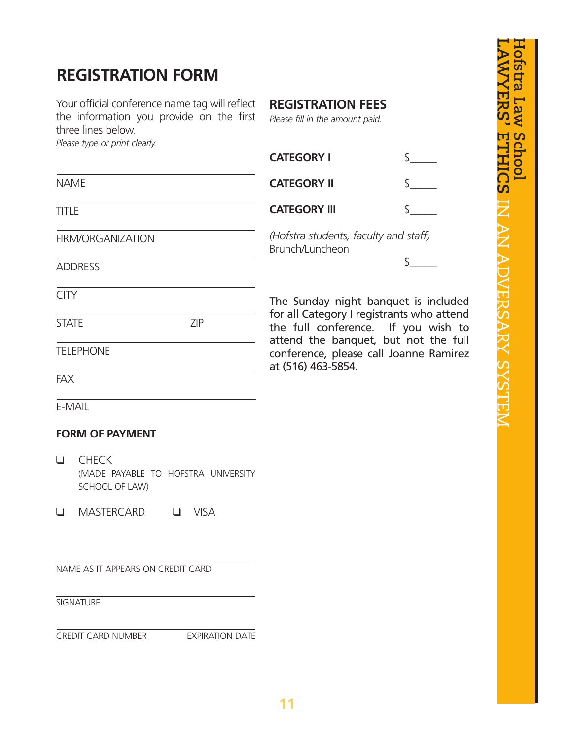# **REGISTRATION FORM**

Your official conference name tag will reflect the information you provide on the first three lines below.

### **REGISTRATION FEES**

*Please fill in the amount paid.*

|                            | THE THE MEIOM.<br>Please type or print clearly.                       |                                                                                  |                                                                                                      |                    |  |  |
|----------------------------|-----------------------------------------------------------------------|----------------------------------------------------------------------------------|------------------------------------------------------------------------------------------------------|--------------------|--|--|
|                            |                                                                       |                                                                                  | <b>CATEGORY I</b>                                                                                    |                    |  |  |
| <b>NAME</b>                |                                                                       |                                                                                  | <b>CATEGORY II</b>                                                                                   |                    |  |  |
| <b>TITLE</b>               |                                                                       |                                                                                  | <b>CATEGORY III</b>                                                                                  | $\mathbf{\hat{z}}$ |  |  |
| FIRM/ORGANIZATION          |                                                                       |                                                                                  | (Hofstra students, faculty and staff)<br>Brunch/Luncheon                                             |                    |  |  |
| <b>ADDRESS</b>             |                                                                       |                                                                                  |                                                                                                      | \$                 |  |  |
| <b>CITY</b>                |                                                                       |                                                                                  | The Sunday night banquet is included                                                                 |                    |  |  |
| <b>ZIP</b><br><b>STATE</b> |                                                                       | for all Category I registrants who attend<br>the full conference. If you wish to |                                                                                                      |                    |  |  |
| <b>TELEPHONE</b>           |                                                                       |                                                                                  | attend the banquet, but not the full<br>conference, please call Joanne Ramirez<br>at (516) 463-5854. |                    |  |  |
| <b>FAX</b>                 |                                                                       |                                                                                  |                                                                                                      |                    |  |  |
|                            | E-MAIL                                                                |                                                                                  |                                                                                                      |                    |  |  |
|                            | <b>FORM OF PAYMENT</b>                                                |                                                                                  |                                                                                                      |                    |  |  |
| $\Box$                     | <b>CHECK</b><br>(MADE PAYABLE TO HOFSTRA UNIVERSITY<br>SCHOOL OF LAW) |                                                                                  |                                                                                                      |                    |  |  |
| $\Box$                     | <b>MASTERCARD</b><br>$\Box$                                           | <b>VISA</b>                                                                      |                                                                                                      |                    |  |  |
|                            | NAME AS IT APPEARS ON CREDIT CARD                                     |                                                                                  |                                                                                                      |                    |  |  |
|                            | <b>SIGNATURE</b>                                                      |                                                                                  |                                                                                                      |                    |  |  |
|                            | CREDIT CARD NUMBER EXPIRATION DATE                                    |                                                                                  |                                                                                                      |                    |  |  |